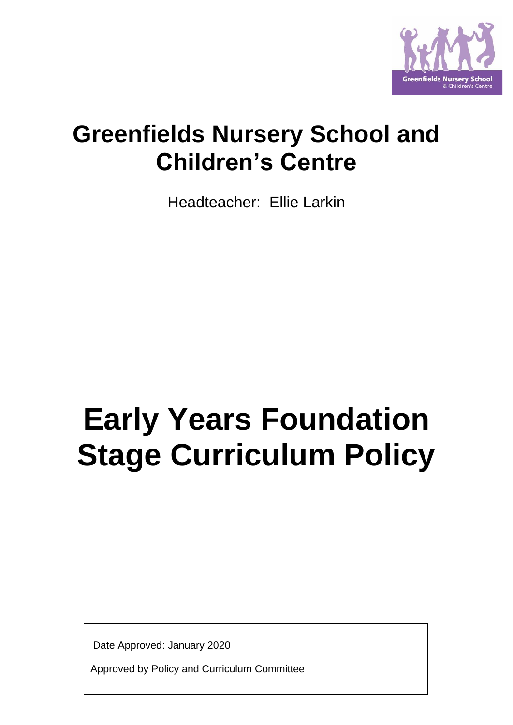

# **Greenfields Nursery School and Children's Centre**

Headteacher: Ellie Larkin

# **Early Years Foundation Stage Curriculum Policy**

Date Approved: January 2020

Approved by Policy and Curriculum Committee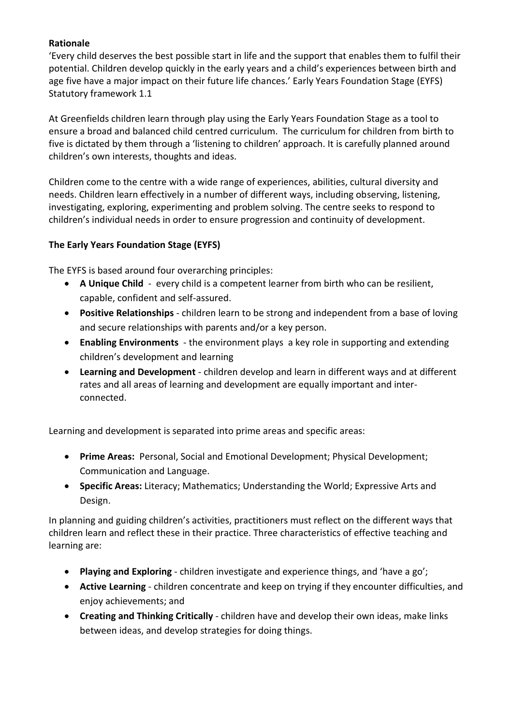## **Rationale**

'Every child deserves the best possible start in life and the support that enables them to fulfil their potential. Children develop quickly in the early years and a child's experiences between birth and age five have a major impact on their future life chances.' Early Years Foundation Stage (EYFS) Statutory framework 1.1

At Greenfields children learn through play using the Early Years Foundation Stage as a tool to ensure a broad and balanced child centred curriculum. The curriculum for children from birth to five is dictated by them through a 'listening to children' approach. It is carefully planned around children's own interests, thoughts and ideas.

Children come to the centre with a wide range of experiences, abilities, cultural diversity and needs. Children learn effectively in a number of different ways, including observing, listening, investigating, exploring, experimenting and problem solving. The centre seeks to respond to children's individual needs in order to ensure progression and continuity of development.

## **The Early Years Foundation Stage (EYFS)**

The EYFS is based around four overarching principles:

- **A Unique Child** every child is a competent learner from birth who can be resilient, capable, confident and self-assured.
- **Positive Relationships** children learn to be strong and independent from a base of loving and secure relationships with parents and/or a key person.
- **Enabling Environments** the environment plays a key role in supporting and extending children's development and learning
- **Learning and Development** children develop and learn in different ways and at different rates and all areas of learning and development are equally important and interconnected.

Learning and development is separated into prime areas and specific areas:

- **Prime Areas:** Personal, Social and Emotional Development; Physical Development; Communication and Language.
- **Specific Areas:** Literacy; Mathematics; Understanding the World; Expressive Arts and Design.

In planning and guiding children's activities, practitioners must reflect on the different ways that children learn and reflect these in their practice. Three characteristics of effective teaching and learning are:

- **Playing and Exploring** children investigate and experience things, and 'have a go';
- **Active Learning** children concentrate and keep on trying if they encounter difficulties, and enjoy achievements; and
- **Creating and Thinking Critically** children have and develop their own ideas, make links between ideas, and develop strategies for doing things.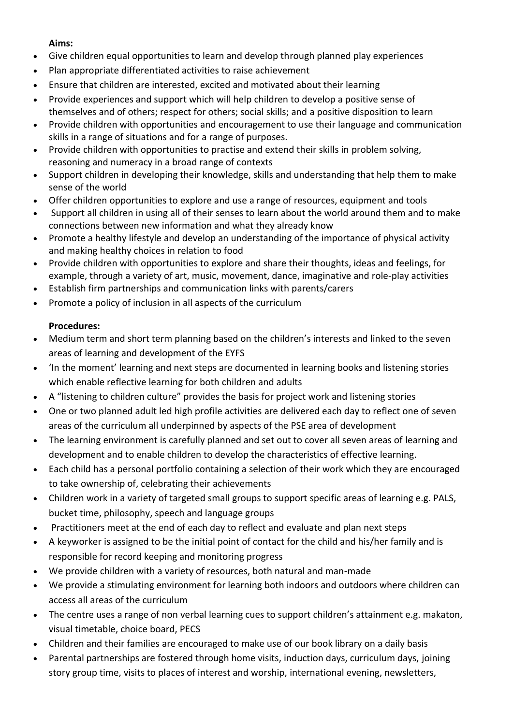## **Aims:**

- Give children equal opportunities to learn and develop through planned play experiences
- Plan appropriate differentiated activities to raise achievement
- Ensure that children are interested, excited and motivated about their learning
- Provide experiences and support which will help children to develop a positive sense of themselves and of others; respect for others; social skills; and a positive disposition to learn
- Provide children with opportunities and encouragement to use their language and communication skills in a range of situations and for a range of purposes.
- Provide children with opportunities to practise and extend their skills in problem solving, reasoning and numeracy in a broad range of contexts
- Support children in developing their knowledge, skills and understanding that help them to make sense of the world
- Offer children opportunities to explore and use a range of resources, equipment and tools
- Support all children in using all of their senses to learn about the world around them and to make connections between new information and what they already know
- Promote a healthy lifestyle and develop an understanding of the importance of physical activity and making healthy choices in relation to food
- Provide children with opportunities to explore and share their thoughts, ideas and feelings, for example, through a variety of art, music, movement, dance, imaginative and role-play activities
- Establish firm partnerships and communication links with parents/carers
- Promote a policy of inclusion in all aspects of the curriculum

## **Procedures:**

- Medium term and short term planning based on the children's interests and linked to the seven areas of learning and development of the EYFS
- 'In the moment' learning and next steps are documented in learning books and listening stories which enable reflective learning for both children and adults
- A "listening to children culture" provides the basis for project work and listening stories
- One or two planned adult led high profile activities are delivered each day to reflect one of seven areas of the curriculum all underpinned by aspects of the PSE area of development
- The learning environment is carefully planned and set out to cover all seven areas of learning and development and to enable children to develop the characteristics of effective learning.
- Each child has a personal portfolio containing a selection of their work which they are encouraged to take ownership of, celebrating their achievements
- Children work in a variety of targeted small groups to support specific areas of learning e.g. PALS, bucket time, philosophy, speech and language groups
- Practitioners meet at the end of each day to reflect and evaluate and plan next steps
- A keyworker is assigned to be the initial point of contact for the child and his/her family and is responsible for record keeping and monitoring progress
- We provide children with a variety of resources, both natural and man-made
- We provide a stimulating environment for learning both indoors and outdoors where children can access all areas of the curriculum
- The centre uses a range of non verbal learning cues to support children's attainment e.g. makaton, visual timetable, choice board, PECS
- Children and their families are encouraged to make use of our book library on a daily basis
- Parental partnerships are fostered through home visits, induction days, curriculum days, joining story group time, visits to places of interest and worship, international evening, newsletters,